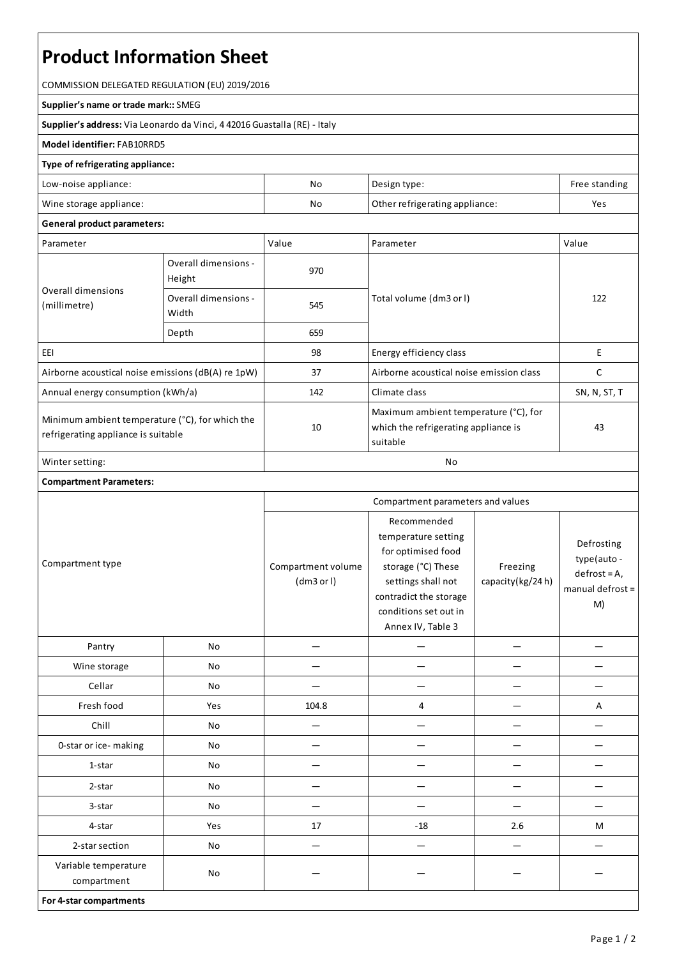# **Product Information Sheet**

COMMISSION DELEGATED REGULATION (EU) 2019/2016

#### **Supplier's name or trade mark::**SMEG

**Supplier's address:** ViaLeonardo da Vinci, 4 42016 Guastalla(RE) - Italy

#### **Model identifier:**FAB10RRD5

#### **Type of refrigerating appliance:**

| Low-noise appliance:    | No | Design type:                   | Free standing |
|-------------------------|----|--------------------------------|---------------|
| Wine storage appliance: | No | Other refrigerating appliance: | Yes           |

### **General product parameters:**

| Parameter                                                                              |                                | Value | Parameter                                                                                 | Value        |
|----------------------------------------------------------------------------------------|--------------------------------|-------|-------------------------------------------------------------------------------------------|--------------|
| Overall dimensions<br>(millimetre)                                                     | Overall dimensions -<br>Height | 970   |                                                                                           | 122          |
|                                                                                        | Overall dimensions -<br>Width  | 545   | Total volume (dm3 or l)                                                                   |              |
|                                                                                        | Depth                          | 659   |                                                                                           |              |
| EEI                                                                                    |                                | 98    | Energy efficiency class                                                                   | E            |
| Airborne acoustical noise emissions (dB(A) re 1pW)                                     |                                | 37    | Airborne acoustical noise emission class                                                  |              |
| Annual energy consumption (kWh/a)                                                      |                                | 142   | Climate class                                                                             | SN, N, ST, T |
| Minimum ambient temperature (°C), for which the<br>refrigerating appliance is suitable |                                | 10    | Maximum ambient temperature (°C), for<br>which the refrigerating appliance is<br>suitable | 43           |
| Winter setting:                                                                        |                                | No    |                                                                                           |              |

## **Compartment Parameters:**

| Compartment type                    |     | Compartment parameters and values |                                                                                                                                                                              |                              |                                                                         |
|-------------------------------------|-----|-----------------------------------|------------------------------------------------------------------------------------------------------------------------------------------------------------------------------|------------------------------|-------------------------------------------------------------------------|
|                                     |     | Compartment volume<br>(dm3 or l)  | Recommended<br>temperature setting<br>for optimised food<br>storage (°C) These<br>settings shall not<br>contradict the storage<br>conditions set out in<br>Annex IV, Table 3 | Freezing<br>capacity(kg/24h) | Defrosting<br>type(auto -<br>$defrost = A,$<br>manual defrost $=$<br>M) |
| Pantry                              | No  |                                   |                                                                                                                                                                              |                              |                                                                         |
| Wine storage                        | No  |                                   |                                                                                                                                                                              |                              |                                                                         |
| Cellar                              | No  |                                   |                                                                                                                                                                              |                              |                                                                         |
| Fresh food                          | Yes | 104.8                             | 4                                                                                                                                                                            |                              | Α                                                                       |
| Chill                               | No  |                                   | —                                                                                                                                                                            |                              |                                                                         |
| 0-star or ice-making                | No  |                                   |                                                                                                                                                                              |                              |                                                                         |
| 1-star                              | No  |                                   |                                                                                                                                                                              |                              |                                                                         |
| 2-star                              | No  |                                   |                                                                                                                                                                              |                              |                                                                         |
| 3-star                              | No  |                                   |                                                                                                                                                                              |                              |                                                                         |
| 4-star                              | Yes | 17                                | $-18$                                                                                                                                                                        | 2.6                          | M                                                                       |
| 2-star section                      | No  |                                   |                                                                                                                                                                              |                              |                                                                         |
| Variable temperature<br>compartment | No  |                                   |                                                                                                                                                                              |                              |                                                                         |
| For 4-star compartments             |     |                                   |                                                                                                                                                                              |                              |                                                                         |